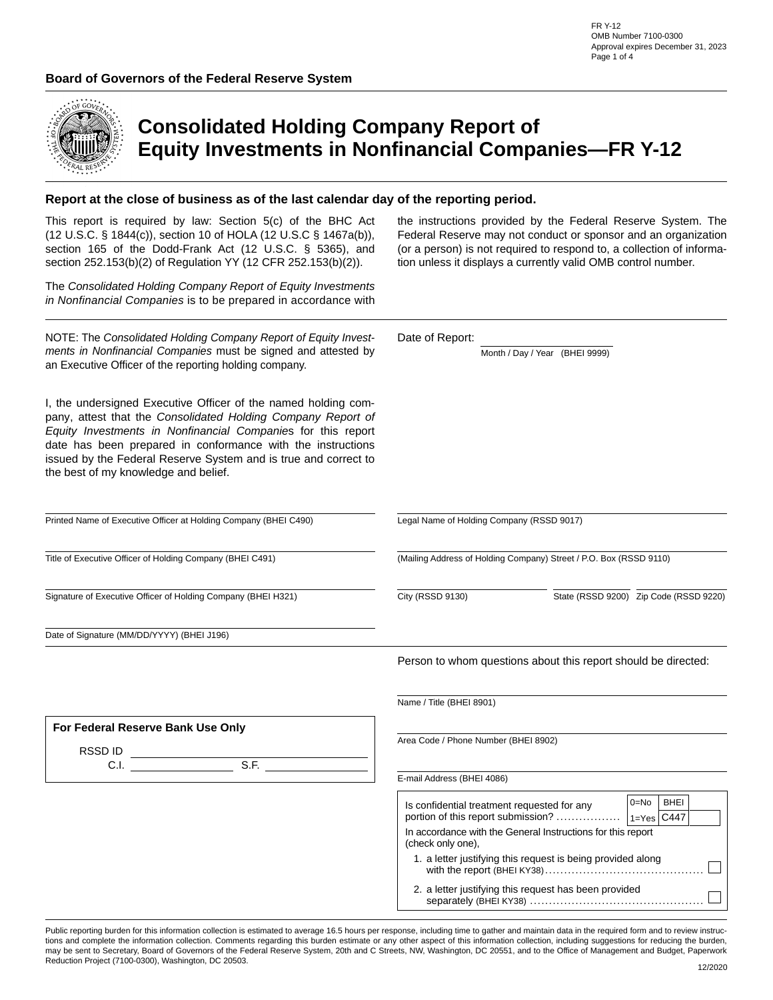

# **Consolidated Holding Company Report of Equity Investments in Nonfinancial Companies—FR Y-12**

#### **Report at the close of business as of the last calendar day of the reporting period.**

This report is required by law: Section 5(c) of the BHC Act (12 U.S.C. § 1844(c)), section 10 of HOLA (12 U.S.C § 1467a(b)), section 165 of the Dodd-Frank Act (12 U.S.C. § 5365), and section 252.153(b)(2) of Regulation YY (12 CFR 252.153(b)(2)).

The *Consolidated Holding Company Report of Equity Investments in Nonfinancial Companies* is to be prepared in accordance with

NOTE: The *Consolidated Holding Company Report of Equity Investments in Nonfinancial Companies* must be signed and attested by an Executive Officer of the reporting holding company.

I, the undersigned Executive Officer of the named holding company, attest that the *Consolidated Holding Company Report of Equity Investments in Nonfinancial Companie*s for this report date has been prepared in conformance with the instructions issued by the Federal Reserve System and is true and correct to the best of my knowledge and belief.

Printed Name of Executive Officer at Holding Company (BHEI C490)

Title of Executive Officer of Holding Company (BHEI C491)

Signature of Executive Officer of Holding Company (BHEI H321)

Date of Signature (MM/DD/YYYY) (BHEI J196)

**For Federal Reserve Bank Use Only**

C.I. S.F.

RSSD ID

the instructions provided by the Federal Reserve System. The Federal Reserve may not conduct or sponsor and an organization (or a person) is not required to respond to, a collection of information unless it displays a currently valid OMB control number.

Date of Report:

Month / Day / Year (BHEI 9999)

Legal Name of Holding Company (RSSD 9017)

(Mailing Address of Holding Company) Street / P.O. Box (RSSD 9110)

 $|\blacktriangledown|$ City (RSSD 9130) State (RSSD 9200) Zip Code (RSSD 9220)

Person to whom questions about this report should be directed:

Name / Title (BHEI 8901)

Area Code / Phone Number (BHEI 8902)

E-mail Address (BHEI 4086)

| Is confidential treatment requested for any<br>portion of this report submission? | ∩–No<br>1-Yes C447 | <b>BHFI</b> |  |  |  |  |  |  |
|-----------------------------------------------------------------------------------|--------------------|-------------|--|--|--|--|--|--|
| In accordance with the General Instructions for this report<br>(check only one).  |                    |             |  |  |  |  |  |  |
| 1. a letter justifying this request is being provided along                       |                    |             |  |  |  |  |  |  |
| 2. a letter justifying this request has been provided                             |                    |             |  |  |  |  |  |  |

Public reporting burden for this information collection is estimated to average 16.5 hours per response, including time to gather and maintain data in the required form and to review instructions and complete the information collection. Comments regarding this burden estimate or any other aspect of this information collection, including suggestions for reducing the burden, may be sent to Secretary, Board of Governors of the Federal Reserve System, 20th and C Streets, NW, Washington, DC 20551, and to the Office of Management and Budget, Paperwork Reduction Project (7100-0300), Washington, DC 20503.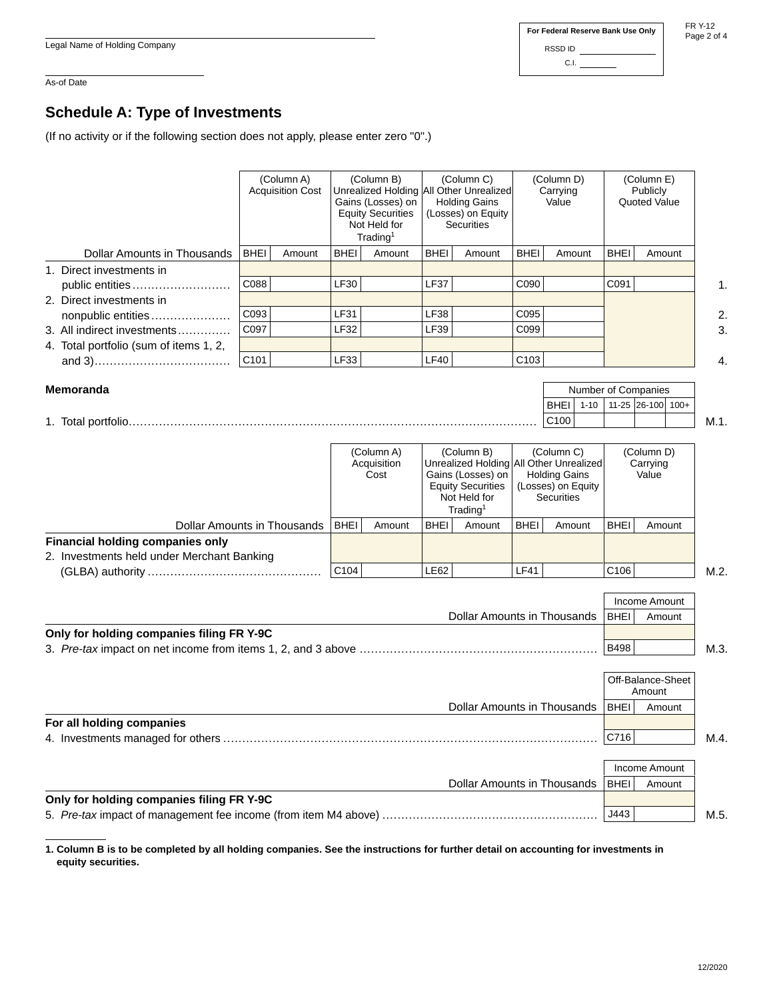FR Y-12 Page 2 of 4

#### As-of Date

### **Schedule A: Type of Investments**

(If no activity or if the following section does not apply, please enter zero "0".)

 $\mathbf{r}$ 

|                             |                                           | (Column A)<br><b>Acquisition Cost</b>                                                                                                                                                                                                                                                                                                              | (Column B)<br>(Column C)<br>Unrealized Holding All Other Unrealized<br><b>Holding Gains</b><br>Gains (Losses) on<br><b>Equity Securities</b><br>(Losses) on Equity<br>Not Held for<br><b>Securities</b><br>Trading <sup>1</sup> |                                                                                                                                          | (Column D)<br>Carrying<br>Value |                                    |                                                         | (Column E)<br>Publicly<br>Quoted Value |                                 |                      |      |
|-----------------------------|-------------------------------------------|----------------------------------------------------------------------------------------------------------------------------------------------------------------------------------------------------------------------------------------------------------------------------------------------------------------------------------------------------|---------------------------------------------------------------------------------------------------------------------------------------------------------------------------------------------------------------------------------|------------------------------------------------------------------------------------------------------------------------------------------|---------------------------------|------------------------------------|---------------------------------------------------------|----------------------------------------|---------------------------------|----------------------|------|
|                             | <b>Dollar Amounts in Thousands</b>        | <b>BHEI</b><br>Amount                                                                                                                                                                                                                                                                                                                              | <b>BHEI</b>                                                                                                                                                                                                                     | Amount                                                                                                                                   | <b>BHEI</b>                     | Amount                             | <b>BHEI</b>                                             | Amount                                 | <b>BHEI</b>                     | Amount               |      |
|                             | 1. Direct investments in                  |                                                                                                                                                                                                                                                                                                                                                    |                                                                                                                                                                                                                                 |                                                                                                                                          |                                 |                                    |                                                         |                                        |                                 |                      |      |
|                             | public entities                           | C088                                                                                                                                                                                                                                                                                                                                               | LF30                                                                                                                                                                                                                            |                                                                                                                                          | <b>LF37</b>                     |                                    | C090                                                    |                                        | C091                            |                      | 1.   |
|                             | 2. Direct investments in                  |                                                                                                                                                                                                                                                                                                                                                    |                                                                                                                                                                                                                                 |                                                                                                                                          |                                 |                                    |                                                         |                                        |                                 |                      |      |
|                             | nonpublic entities                        | C093                                                                                                                                                                                                                                                                                                                                               | <b>LF31</b>                                                                                                                                                                                                                     |                                                                                                                                          | <b>LF38</b>                     |                                    | C095                                                    |                                        |                                 |                      | 2.   |
|                             | 3. All indirect investments               | C097                                                                                                                                                                                                                                                                                                                                               | <b>LF32</b>                                                                                                                                                                                                                     |                                                                                                                                          | <b>LF39</b>                     |                                    | C099                                                    |                                        |                                 |                      | 3.   |
|                             | 4. Total portfolio (sum of items 1, 2,    |                                                                                                                                                                                                                                                                                                                                                    |                                                                                                                                                                                                                                 |                                                                                                                                          |                                 |                                    |                                                         |                                        |                                 |                      |      |
|                             |                                           | C101                                                                                                                                                                                                                                                                                                                                               | <b>LF33</b>                                                                                                                                                                                                                     |                                                                                                                                          | LF40                            |                                    | C <sub>103</sub>                                        |                                        |                                 |                      | 4.   |
|                             | <b>Memoranda</b>                          |                                                                                                                                                                                                                                                                                                                                                    |                                                                                                                                                                                                                                 |                                                                                                                                          |                                 |                                    |                                                         | $1 - 10$<br><b>BHEI</b><br>C100        | Number of Companies             |                      | M.1. |
|                             |                                           |                                                                                                                                                                                                                                                                                                                                                    |                                                                                                                                                                                                                                 | (Column A)<br>(Column B)<br>Acquisition<br>Cost<br>Gains (Losses) on<br><b>Equity Securities</b><br>Not Held for<br>Trading <sup>1</sup> |                                 |                                    | (Column C)<br><b>Holding Gains</b><br><b>Securities</b> |                                        | (Column D)<br>Carrying<br>Value |                      |      |
| Dollar Amounts in Thousands |                                           | <b>BHEI</b>                                                                                                                                                                                                                                                                                                                                        | Amount                                                                                                                                                                                                                          | <b>BHEI</b>                                                                                                                              | Amount                          | <b>BHEI</b>                        | Amount                                                  | <b>BHEI</b>                            | Amount                          |                      |      |
|                             | <b>Financial holding companies only</b>   |                                                                                                                                                                                                                                                                                                                                                    | C <sub>104</sub>                                                                                                                                                                                                                |                                                                                                                                          | <b>LE62</b>                     |                                    | <b>LF41</b>                                             |                                        | C <sub>106</sub>                |                      | M.2. |
|                             |                                           |                                                                                                                                                                                                                                                                                                                                                    |                                                                                                                                                                                                                                 |                                                                                                                                          |                                 |                                    |                                                         |                                        |                                 |                      |      |
|                             |                                           | 11-25 26-100 100+<br>Unrealized Holding All Other Unrealized<br>(Losses) on Equity<br>2. Investments held under Merchant Banking<br>Income Amount<br>Dollar Amounts in Thousands<br><b>BHEI</b><br>Only for holding companies filing FR Y-9C<br><b>B498</b><br>Off-Balance-Sheet<br>Amount<br>Dollar Amounts in Thousands<br><b>BHEI</b><br>Amount |                                                                                                                                                                                                                                 |                                                                                                                                          |                                 |                                    |                                                         |                                        |                                 |                      |      |
|                             |                                           |                                                                                                                                                                                                                                                                                                                                                    |                                                                                                                                                                                                                                 |                                                                                                                                          |                                 |                                    |                                                         |                                        |                                 | Amount               |      |
|                             |                                           |                                                                                                                                                                                                                                                                                                                                                    |                                                                                                                                                                                                                                 |                                                                                                                                          |                                 |                                    |                                                         |                                        |                                 |                      |      |
|                             |                                           |                                                                                                                                                                                                                                                                                                                                                    |                                                                                                                                                                                                                                 |                                                                                                                                          |                                 |                                    |                                                         |                                        |                                 | M.3.                 |      |
|                             |                                           |                                                                                                                                                                                                                                                                                                                                                    |                                                                                                                                                                                                                                 |                                                                                                                                          |                                 |                                    |                                                         |                                        |                                 |                      |      |
|                             |                                           |                                                                                                                                                                                                                                                                                                                                                    |                                                                                                                                                                                                                                 |                                                                                                                                          |                                 |                                    |                                                         |                                        |                                 |                      |      |
|                             | For all holding companies                 |                                                                                                                                                                                                                                                                                                                                                    |                                                                                                                                                                                                                                 |                                                                                                                                          |                                 |                                    |                                                         |                                        |                                 |                      |      |
|                             |                                           |                                                                                                                                                                                                                                                                                                                                                    |                                                                                                                                                                                                                                 |                                                                                                                                          | C716                            |                                    | M.4.                                                    |                                        |                                 |                      |      |
|                             |                                           |                                                                                                                                                                                                                                                                                                                                                    |                                                                                                                                                                                                                                 |                                                                                                                                          |                                 |                                    |                                                         |                                        |                                 | <b>Income Amount</b> |      |
|                             |                                           |                                                                                                                                                                                                                                                                                                                                                    |                                                                                                                                                                                                                                 |                                                                                                                                          |                                 | <b>Dollar Amounts in Thousands</b> |                                                         |                                        | <b>BHEI</b>                     | Amount               |      |
|                             | Only for holding companies filing FR Y-9C |                                                                                                                                                                                                                                                                                                                                                    |                                                                                                                                                                                                                                 |                                                                                                                                          |                                 |                                    |                                                         |                                        |                                 |                      |      |
|                             |                                           |                                                                                                                                                                                                                                                                                                                                                    |                                                                                                                                                                                                                                 |                                                                                                                                          |                                 |                                    |                                                         |                                        |                                 |                      | M.5. |

**1. Column B is to be completed by all holding companies. See the instructions for further detail on accounting for investments in equity securities.**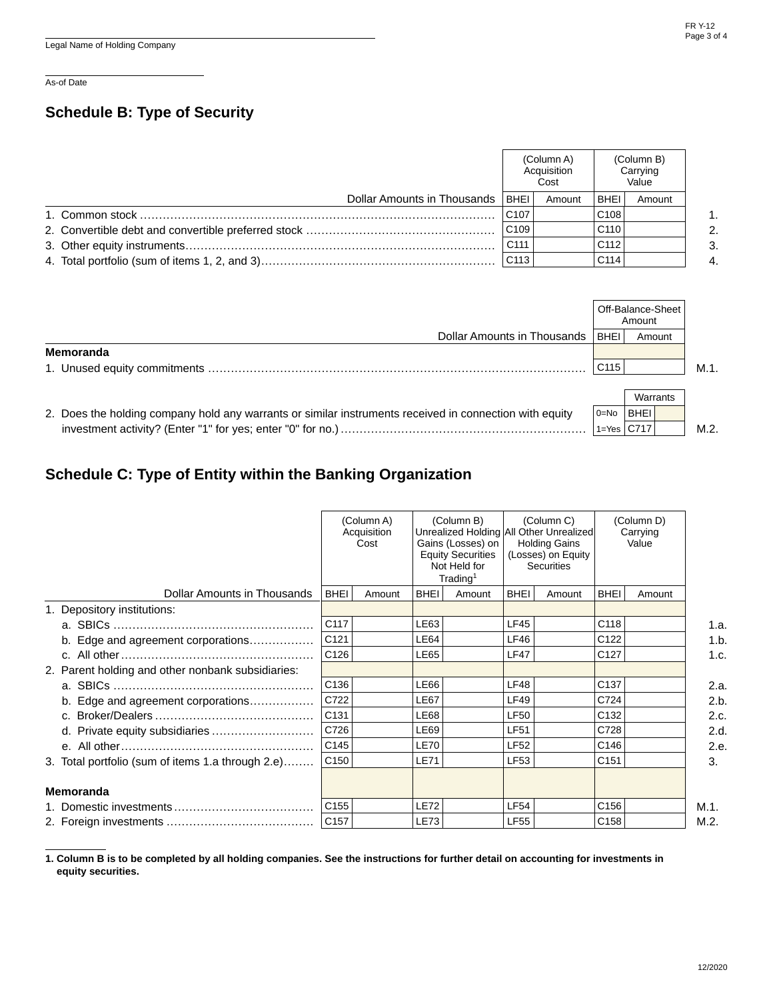As-of Date

### **Schedule B: Type of Security**

|                                      |                  | (Column A)<br>Acquisition<br>Cost |                  | (Column B)<br>Carrying<br>Value |                |
|--------------------------------------|------------------|-----------------------------------|------------------|---------------------------------|----------------|
| Dollar Amounts in Thousands   BHEI ! |                  | Amount                            | <b>BHEI</b>      | Amount                          |                |
|                                      | C <sub>107</sub> |                                   | C <sub>108</sub> |                                 | 1.             |
|                                      | C109             |                                   | C <sub>110</sub> |                                 | 2.             |
|                                      | C111             |                                   | C <sub>112</sub> |                                 | 3.             |
|                                      | C113             |                                   | C <sub>114</sub> |                                 | $\overline{4}$ |

|                                                                                                         |                                    |                  | Off-Balance-Sheet<br>Amount |         |
|---------------------------------------------------------------------------------------------------------|------------------------------------|------------------|-----------------------------|---------|
|                                                                                                         | Dollar Amounts in Thousands   BHEI |                  | Amount                      |         |
| Memoranda                                                                                               |                                    |                  |                             |         |
|                                                                                                         |                                    | C <sub>115</sub> |                             | $M.1$ . |
|                                                                                                         |                                    |                  | Warrants                    |         |
| 2. Does the holding company hold any warrants or similar instruments received in connection with equity |                                    | $0 = No$         | <b>BHEI</b>                 |         |

investment activity? (Enter "1" for yes; enter "0" for no.) .................................................................  $1 = Yes \mid C717 \mid$  M.2.

## **Schedule C: Type of Entity within the Banking Organization**

|                                                   |                  | (Column A)<br>Acquisition<br>Cost |             | (Column B)<br>Unrealized Holding All Other Unrealized<br>Gains (Losses) on<br><b>Equity Securities</b><br>Not Held for<br>Trading <sup>1</sup> |                  | (Column C)<br><b>Holding Gains</b><br>(Losses) on Equity<br><b>Securities</b> |                  | (Column D)<br>Carrying<br>Value |      |
|---------------------------------------------------|------------------|-----------------------------------|-------------|------------------------------------------------------------------------------------------------------------------------------------------------|------------------|-------------------------------------------------------------------------------|------------------|---------------------------------|------|
| Dollar Amounts in Thousands                       | <b>BHEI</b>      | Amount                            | <b>BHEI</b> | Amount                                                                                                                                         | <b>BHEI</b>      | Amount                                                                        | <b>BHEI</b>      | Amount                          |      |
| 1. Depository institutions:                       |                  |                                   |             |                                                                                                                                                |                  |                                                                               |                  |                                 |      |
|                                                   | C117             |                                   | LE63        |                                                                                                                                                | LF45             |                                                                               | C118             |                                 | 1.a. |
| b. Edge and agreement corporations                | C121             |                                   | <b>LE64</b> |                                                                                                                                                | LF46             |                                                                               | C122             |                                 | 1.b. |
|                                                   | C126             |                                   | LE65        |                                                                                                                                                | LF47             |                                                                               | C <sub>127</sub> |                                 | 1.c. |
| 2. Parent holding and other nonbank subsidiaries: |                  |                                   |             |                                                                                                                                                |                  |                                                                               |                  |                                 |      |
|                                                   | C136             |                                   | <b>LE66</b> |                                                                                                                                                | LF48             |                                                                               | C <sub>137</sub> |                                 | 2.a. |
| b. Edge and agreement corporations                | C722             |                                   | <b>LE67</b> |                                                                                                                                                | <b>LF49</b>      |                                                                               | C724             |                                 | 2.b. |
|                                                   | C131             |                                   | LE68        |                                                                                                                                                | LF50             |                                                                               | C <sub>132</sub> |                                 | 2.c. |
|                                                   | C726             |                                   | <b>LE69</b> |                                                                                                                                                | <b>LF51</b>      |                                                                               | C728             |                                 | 2.d. |
|                                                   | C145             |                                   | LE70        |                                                                                                                                                | <b>LF52</b>      |                                                                               | C146             |                                 | 2.e. |
| 3. Total portfolio (sum of items 1.a through 2.e) | C150             |                                   | <b>LE71</b> |                                                                                                                                                | <b>LF53</b>      |                                                                               | C <sub>151</sub> |                                 | 3.   |
| <b>Memoranda</b>                                  |                  |                                   |             |                                                                                                                                                |                  |                                                                               |                  |                                 |      |
|                                                   | C <sub>155</sub> |                                   | <b>LE72</b> |                                                                                                                                                | LF <sub>54</sub> |                                                                               | C <sub>156</sub> |                                 | M.1. |
|                                                   | C157             |                                   | <b>LE73</b> |                                                                                                                                                | <b>LF55</b>      |                                                                               | C158             |                                 | M.2. |

**1. Column B is to be completed by all holding companies. See the instructions for further detail on accounting for investments in equity securities.**